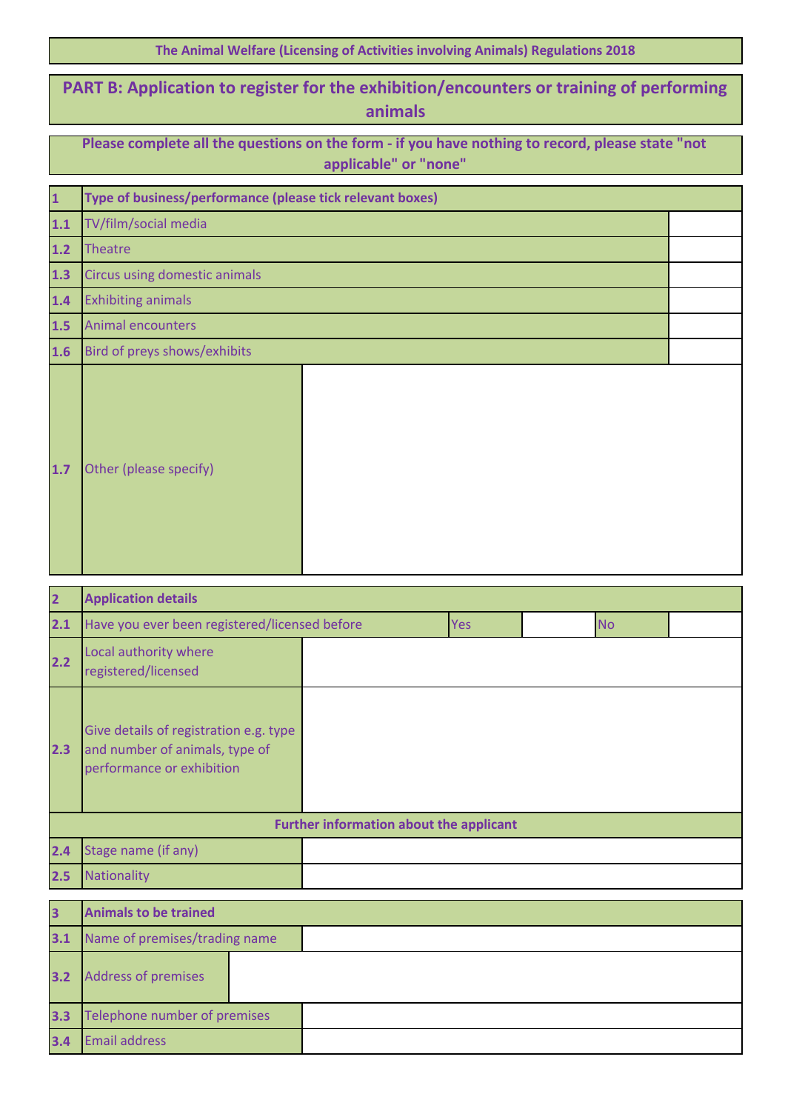| The Animal Welfare (Licensing of Activities involving Animals) Regulations 2018 |  |  |  |  |
|---------------------------------------------------------------------------------|--|--|--|--|
|---------------------------------------------------------------------------------|--|--|--|--|

## **PART B: Application to register for the exhibition/encounters or training of performing animals**

| Please complete all the questions on the form - if you have nothing to record, please state "not |  |
|--------------------------------------------------------------------------------------------------|--|
| applicable" or "none"                                                                            |  |

| $\overline{\mathbf{1}}$ | Type of business/performance (please tick relevant boxes) |  |  |  |  |
|-------------------------|-----------------------------------------------------------|--|--|--|--|
| $\overline{1.1}$        | TV/film/social media                                      |  |  |  |  |
| $1.2$                   | <b>Theatre</b>                                            |  |  |  |  |
| $1.3$                   | Circus using domestic animals                             |  |  |  |  |
| $1.4$                   | <b>Exhibiting animals</b>                                 |  |  |  |  |
| 1.5                     | <b>Animal encounters</b>                                  |  |  |  |  |
| 1.6                     | Bird of preys shows/exhibits                              |  |  |  |  |
| $1.7$                   | Other (please specify)                                    |  |  |  |  |

| 2                       | <b>Application details</b>                                                                            |                                                |     |  |           |  |
|-------------------------|-------------------------------------------------------------------------------------------------------|------------------------------------------------|-----|--|-----------|--|
| 2.1                     | Have you ever been registered/licensed before                                                         |                                                | Yes |  | <b>No</b> |  |
| 2.2                     | Local authority where<br>registered/licensed                                                          |                                                |     |  |           |  |
| 2.3                     | Give details of registration e.g. type<br>and number of animals, type of<br>performance or exhibition |                                                |     |  |           |  |
|                         |                                                                                                       | <b>Further information about the applicant</b> |     |  |           |  |
| 2.4                     | Stage name (if any)                                                                                   |                                                |     |  |           |  |
| 2.5                     | Nationality                                                                                           |                                                |     |  |           |  |
|                         |                                                                                                       |                                                |     |  |           |  |
| $\overline{\mathbf{3}}$ | <b>Animals to be trained</b>                                                                          |                                                |     |  |           |  |
| <b>Allen</b>            | The first process of the contract of the contract of the contract of                                  |                                                |     |  |           |  |

| 3.1 | Name of premises/trading name |  |  |  |
|-----|-------------------------------|--|--|--|
| 3.2 | <b>Address of premises</b>    |  |  |  |
| 3.3 | Telephone number of premises  |  |  |  |
| 3.4 | <b>Email address</b>          |  |  |  |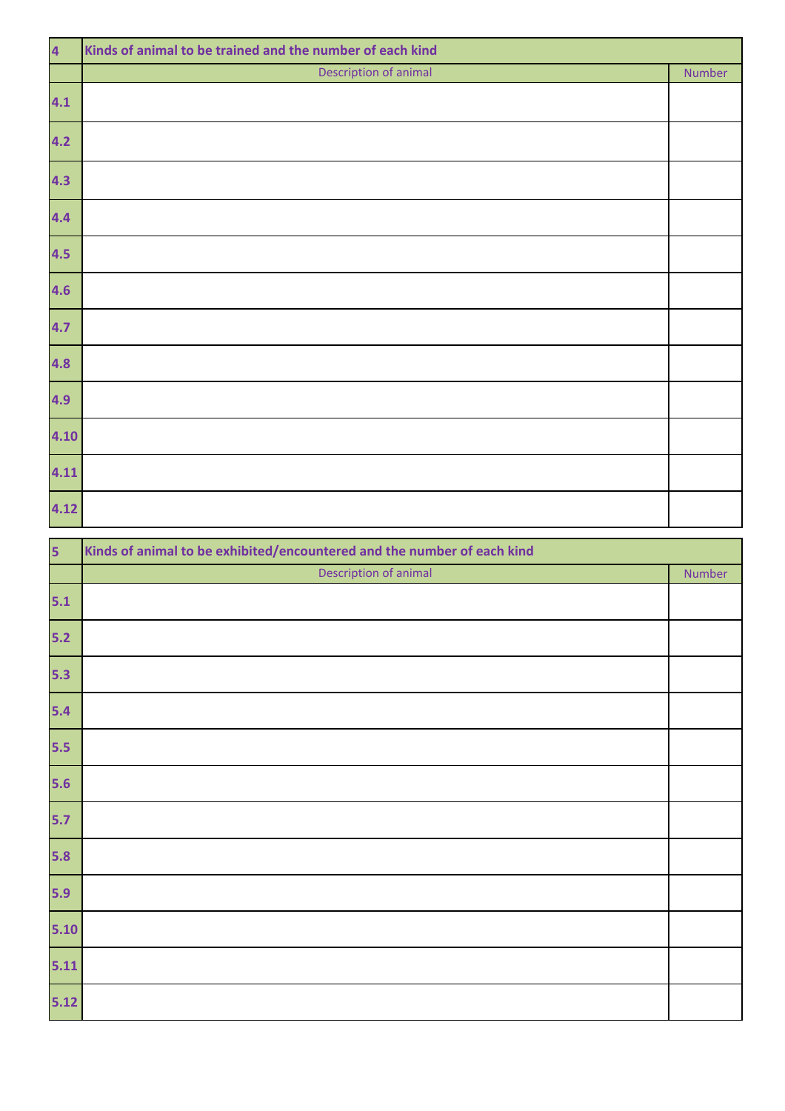| $\overline{4}$ | Kinds of animal to be trained and the number of each kind |        |  |  |  |
|----------------|-----------------------------------------------------------|--------|--|--|--|
|                | Description of animal                                     | Number |  |  |  |
| 4.1            |                                                           |        |  |  |  |
| 4.2            |                                                           |        |  |  |  |
| 4.3            |                                                           |        |  |  |  |
| 4.4            |                                                           |        |  |  |  |
| 4.5            |                                                           |        |  |  |  |
| 4.6            |                                                           |        |  |  |  |
| 4.7            |                                                           |        |  |  |  |
| 4.8            |                                                           |        |  |  |  |
| 4.9            |                                                           |        |  |  |  |
| 4.10           |                                                           |        |  |  |  |
| 4.11           |                                                           |        |  |  |  |
| 4.12           |                                                           |        |  |  |  |

| 5      | Kinds of animal to be exhibited/encountered and the number of each kind |        |  |  |  |  |
|--------|-------------------------------------------------------------------------|--------|--|--|--|--|
|        | Description of animal                                                   | Number |  |  |  |  |
| $5.1$  |                                                                         |        |  |  |  |  |
| $5.2$  |                                                                         |        |  |  |  |  |
| 5.3    |                                                                         |        |  |  |  |  |
| $5.4$  |                                                                         |        |  |  |  |  |
| $5.5$  |                                                                         |        |  |  |  |  |
| $5.6$  |                                                                         |        |  |  |  |  |
| $5.7$  |                                                                         |        |  |  |  |  |
| $5.8$  |                                                                         |        |  |  |  |  |
| 5.9    |                                                                         |        |  |  |  |  |
| $5.10$ |                                                                         |        |  |  |  |  |
| $5.11$ |                                                                         |        |  |  |  |  |
| $5.12$ |                                                                         |        |  |  |  |  |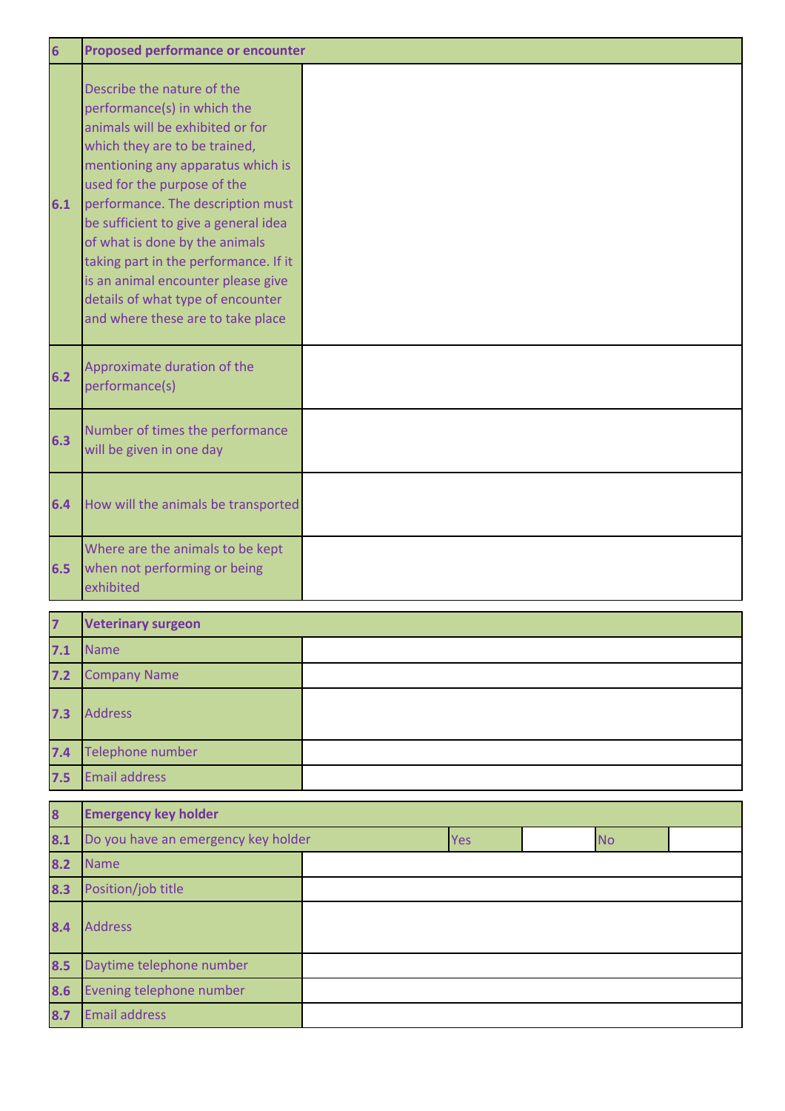| $6\overline{6}$ | <b>Proposed performance or encounter</b>                                                                                                                                                                                                                                                                                                                                                                                                                                   |  |
|-----------------|----------------------------------------------------------------------------------------------------------------------------------------------------------------------------------------------------------------------------------------------------------------------------------------------------------------------------------------------------------------------------------------------------------------------------------------------------------------------------|--|
| 6.1             | Describe the nature of the<br>performance(s) in which the<br>animals will be exhibited or for<br>which they are to be trained,<br>mentioning any apparatus which is<br>used for the purpose of the<br>performance. The description must<br>be sufficient to give a general idea<br>of what is done by the animals<br>taking part in the performance. If it<br>is an animal encounter please give<br>details of what type of encounter<br>and where these are to take place |  |
| 6.2             | Approximate duration of the<br>performance(s)                                                                                                                                                                                                                                                                                                                                                                                                                              |  |
| 6.3             | Number of times the performance<br>will be given in one day                                                                                                                                                                                                                                                                                                                                                                                                                |  |
| 6.4             | How will the animals be transported                                                                                                                                                                                                                                                                                                                                                                                                                                        |  |
| 6.5             | Where are the animals to be kept<br>when not performing or being<br>exhibited                                                                                                                                                                                                                                                                                                                                                                                              |  |

| $\overline{z}$ | <b>Veterinary surgeon</b> |  |
|----------------|---------------------------|--|
| 7.1            | Name                      |  |
| $7.2$          | <b>Company Name</b>       |  |
| 7.3            | <b>Address</b>            |  |
| 7.4            | Telephone number          |  |
| 7.5            | <b>Email address</b>      |  |

| $\overline{\mathbf{8}}$ | <b>Emergency key holder</b>         |  |     |  |           |  |  |
|-------------------------|-------------------------------------|--|-----|--|-----------|--|--|
| 8.1                     | Do you have an emergency key holder |  | Yes |  | <b>No</b> |  |  |
| 8.2                     | <b>Name</b>                         |  |     |  |           |  |  |
| 8.3                     | Position/job title                  |  |     |  |           |  |  |
| 8.4                     | <b>Address</b>                      |  |     |  |           |  |  |
| 8.5                     | Daytime telephone number            |  |     |  |           |  |  |
| 8.6                     | Evening telephone number            |  |     |  |           |  |  |
| 8.7                     | <b>Email address</b>                |  |     |  |           |  |  |